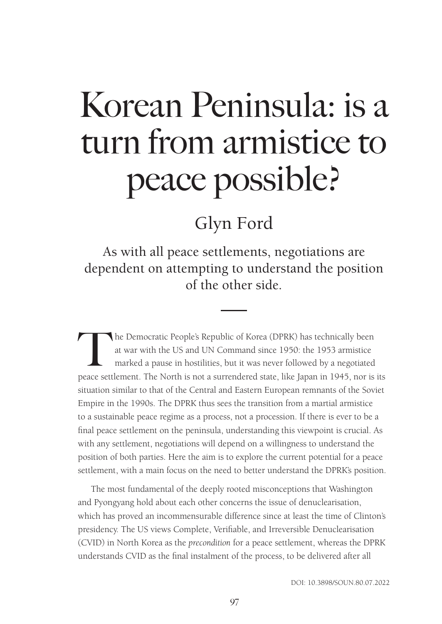# Korean Peninsula: is a turn from armistice to peace possible?

## Glyn Ford

As with all peace settlements, negotiations are dependent on attempting to understand the position of the other side.

The Democratic People's Republic of Korea (DPRK) has technically been<br>at war with the US and UN Command since 1950: the 1953 armistice<br>marked a pause in hostilities, but it was never followed by a negotiated<br>neace settleme at war with the US and UN Command since 1950: the 1953 armistice marked a pause in hostilities, but it was never followed by a negotiated peace settlement. The North is not a surrendered state, like Japan in 1945, nor is its situation similar to that of the Central and Eastern European remnants of the Soviet Empire in the 1990s. The DPRK thus sees the transition from a martial armistice to a sustainable peace regime as a process, not a procession. If there is ever to be a final peace settlement on the peninsula, understanding this viewpoint is crucial. As with any settlement, negotiations will depend on a willingness to understand the position of both parties. Here the aim is to explore the current potential for a peace settlement, with a main focus on the need to better understand the DPRK's position.

The most fundamental of the deeply rooted misconceptions that Washington and Pyongyang hold about each other concerns the issue of denuclearisation, which has proved an incommensurable difference since at least the time of Clinton's presidency. The US views Complete, Verifiable, and Irreversible Denuclearisation (CVID) in North Korea as the *precondition* for a peace settlement, whereas the DPRK understands CVID as the final instalment of the process, to be delivered after all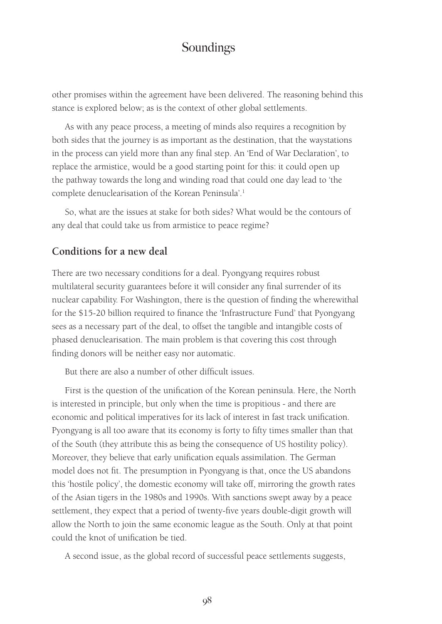other promises within the agreement have been delivered. The reasoning behind this stance is explored below; as is the context of other global settlements.

As with any peace process, a meeting of minds also requires a recognition by both sides that the journey is as important as the destination, that the waystations in the process can yield more than any final step. An 'End of War Declaration', to replace the armistice, would be a good starting point for this: it could open up the pathway towards the long and winding road that could one day lead to 'the complete denuclearisation of the Korean Peninsula'.<sup>1</sup>

So, what are the issues at stake for both sides? What would be the contours of any deal that could take us from armistice to peace regime?

#### **Conditions for a new deal**

There are two necessary conditions for a deal. Pyongyang requires robust multilateral security guarantees before it will consider any final surrender of its nuclear capability. For Washington, there is the question of finding the wherewithal for the \$15-20 billion required to finance the 'Infrastructure Fund' that Pyongyang sees as a necessary part of the deal, to offset the tangible and intangible costs of phased denuclearisation. The main problem is that covering this cost through finding donors will be neither easy nor automatic.

But there are also a number of other difficult issues.

First is the question of the unification of the Korean peninsula. Here, the North is interested in principle, but only when the time is propitious - and there are economic and political imperatives for its lack of interest in fast track unification. Pyongyang is all too aware that its economy is forty to fifty times smaller than that of the South (they attribute this as being the consequence of US hostility policy). Moreover, they believe that early unification equals assimilation. The German model does not fit. The presumption in Pyongyang is that, once the US abandons this 'hostile policy', the domestic economy will take off, mirroring the growth rates of the Asian tigers in the 1980s and 1990s. With sanctions swept away by a peace settlement, they expect that a period of twenty-five years double-digit growth will allow the North to join the same economic league as the South. Only at that point could the knot of unification be tied.

A second issue, as the global record of successful peace settlements suggests,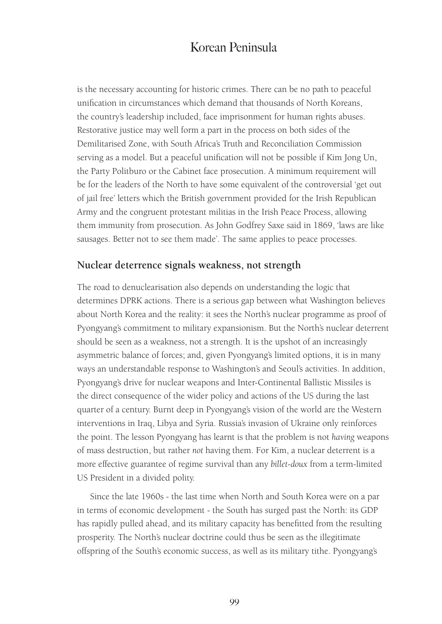is the necessary accounting for historic crimes. There can be no path to peaceful unification in circumstances which demand that thousands of North Koreans, the country's leadership included, face imprisonment for human rights abuses. Restorative justice may well form a part in the process on both sides of the Demilitarised Zone, with South Africa's Truth and Reconciliation Commission serving as a model. But a peaceful unification will not be possible if Kim Jong Un, the Party Politburo or the Cabinet face prosecution. A minimum requirement will be for the leaders of the North to have some equivalent of the controversial 'get out of jail free' letters which the British government provided for the Irish Republican Army and the congruent protestant militias in the Irish Peace Process, allowing them immunity from prosecution. As John Godfrey Saxe said in 1869, 'laws are like sausages. Better not to see them made'. The same applies to peace processes.

#### **Nuclear deterrence signals weakness, not strength**

The road to denuclearisation also depends on understanding the logic that determines DPRK actions. There is a serious gap between what Washington believes about North Korea and the reality: it sees the North's nuclear programme as proof of Pyongyang's commitment to military expansionism. But the North's nuclear deterrent should be seen as a weakness, not a strength. It is the upshot of an increasingly asymmetric balance of forces; and, given Pyongyang's limited options, it is in many ways an understandable response to Washington's and Seoul's activities. In addition, Pyongyang's drive for nuclear weapons and Inter-Continental Ballistic Missiles is the direct consequence of the wider policy and actions of the US during the last quarter of a century. Burnt deep in Pyongyang's vision of the world are the Western interventions in Iraq, Libya and Syria. Russia's invasion of Ukraine only reinforces the point. The lesson Pyongyang has learnt is that the problem is not *having* weapons of mass destruction, but rather *not* having them. For Kim, a nuclear deterrent is a more effective guarantee of regime survival than any *billet-doux* from a term-limited US President in a divided polity.

Since the late 1960s - the last time when North and South Korea were on a par in terms of economic development - the South has surged past the North: its GDP has rapidly pulled ahead, and its military capacity has benefitted from the resulting prosperity. The North's nuclear doctrine could thus be seen as the illegitimate offspring of the South's economic success, as well as its military tithe. Pyongyang's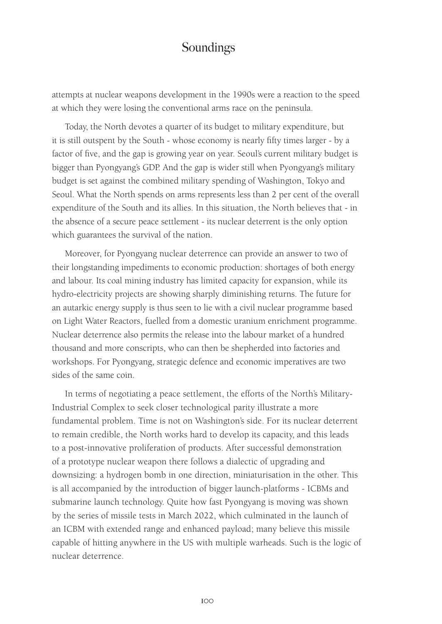attempts at nuclear weapons development in the 1990s were a reaction to the speed at which they were losing the conventional arms race on the peninsula.

Today, the North devotes a quarter of its budget to military expenditure, but it is still outspent by the South - whose economy is nearly fifty times larger - by a factor of five, and the gap is growing year on year. Seoul's current military budget is bigger than Pyongyang's GDP. And the gap is wider still when Pyongyang's military budget is set against the combined military spending of Washington, Tokyo and Seoul. What the North spends on arms represents less than 2 per cent of the overall expenditure of the South and its allies. In this situation, the North believes that - in the absence of a secure peace settlement - its nuclear deterrent is the only option which guarantees the survival of the nation.

Moreover, for Pyongyang nuclear deterrence can provide an answer to two of their longstanding impediments to economic production: shortages of both energy and labour. Its coal mining industry has limited capacity for expansion, while its hydro-electricity projects are showing sharply diminishing returns. The future for an autarkic energy supply is thus seen to lie with a civil nuclear programme based on Light Water Reactors, fuelled from a domestic uranium enrichment programme. Nuclear deterrence also permits the release into the labour market of a hundred thousand and more conscripts, who can then be shepherded into factories and workshops. For Pyongyang, strategic defence and economic imperatives are two sides of the same coin.

In terms of negotiating a peace settlement, the efforts of the North's Military-Industrial Complex to seek closer technological parity illustrate a more fundamental problem. Time is not on Washington's side. For its nuclear deterrent to remain credible, the North works hard to develop its capacity, and this leads to a post-innovative proliferation of products. After successful demonstration of a prototype nuclear weapon there follows a dialectic of upgrading and downsizing: a hydrogen bomb in one direction, miniaturisation in the other. This is all accompanied by the introduction of bigger launch-platforms - ICBMs and submarine launch technology. Quite how fast Pyongyang is moving was shown by the series of missile tests in March 2022, which culminated in the launch of an ICBM with extended range and enhanced payload; many believe this missile capable of hitting anywhere in the US with multiple warheads. Such is the logic of nuclear deterrence.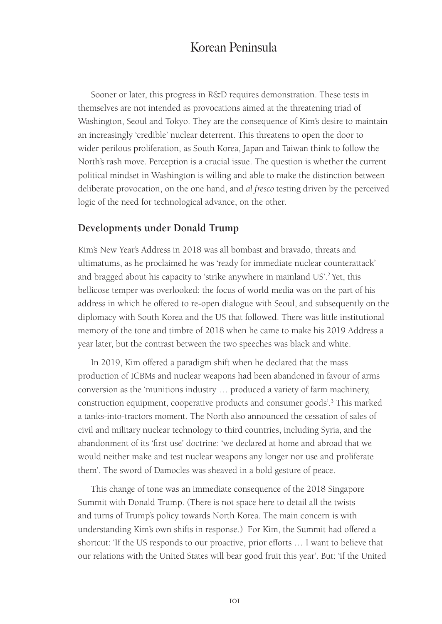Sooner or later, this progress in R&D requires demonstration. These tests in themselves are not intended as provocations aimed at the threatening triad of Washington, Seoul and Tokyo. They are the consequence of Kim's desire to maintain an increasingly 'credible' nuclear deterrent. This threatens to open the door to wider perilous proliferation, as South Korea, Japan and Taiwan think to follow the North's rash move. Perception is a crucial issue. The question is whether the current political mindset in Washington is willing and able to make the distinction between deliberate provocation, on the one hand, and *al fresco* testing driven by the perceived logic of the need for technological advance, on the other.

#### **Developments under Donald Trump**

Kim's New Year's Address in 2018 was all bombast and bravado, threats and ultimatums, as he proclaimed he was 'ready for immediate nuclear counterattack' and bragged about his capacity to 'strike anywhere in mainland US'.<sup>2</sup> Yet, this bellicose temper was overlooked: the focus of world media was on the part of his address in which he offered to re-open dialogue with Seoul, and subsequently on the diplomacy with South Korea and the US that followed. There was little institutional memory of the tone and timbre of 2018 when he came to make his 2019 Address a year later, but the contrast between the two speeches was black and white.

In 2019, Kim offered a paradigm shift when he declared that the mass production of ICBMs and nuclear weapons had been abandoned in favour of arms conversion as the 'munitions industry … produced a variety of farm machinery, construction equipment, cooperative products and consumer goods'.<sup>3</sup> This marked a tanks-into-tractors moment. The North also announced the cessation of sales of civil and military nuclear technology to third countries, including Syria, and the abandonment of its 'first use' doctrine: 'we declared at home and abroad that we would neither make and test nuclear weapons any longer nor use and proliferate them'. The sword of Damocles was sheaved in a bold gesture of peace.

This change of tone was an immediate consequence of the 2018 Singapore Summit with Donald Trump. (There is not space here to detail all the twists and turns of Trump's policy towards North Korea. The main concern is with understanding Kim's own shifts in response.) For Kim, the Summit had offered a shortcut: 'If the US responds to our proactive, prior efforts … I want to believe that our relations with the United States will bear good fruit this year'. But: 'if the United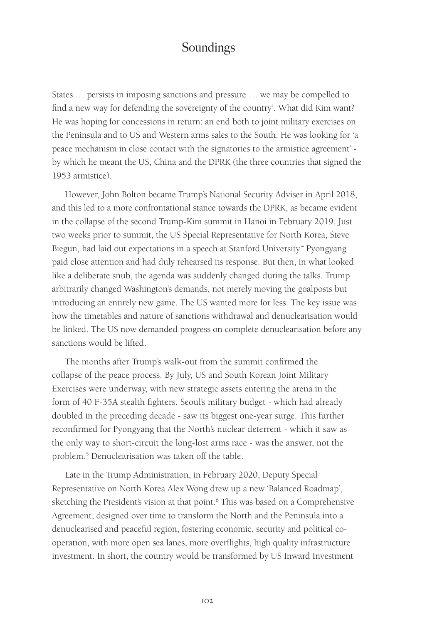States … persists in imposing sanctions and pressure … we may be compelled to find a new way for defending the sovereignty of the country'. What did Kim want? He was hoping for concessions in return: an end both to joint military exercises on the Peninsula and to US and Western arms sales to the South. He was looking for 'a peace mechanism in close contact with the signatories to the armistice agreement' by which he meant the US, China and the DPRK (the three countries that signed the 1953 armistice).

However, John Bolton became Trump's National Security Adviser in April 2018, and this led to a more confrontational stance towards the DPRK, as became evident in the collapse of the second Trump-Kim summit in Hanoi in February 2019. Just two weeks prior to summit, the US Special Representative for North Korea, Steve Biegun, had laid out expectations in a speech at Stanford University.<sup>4</sup> Pyongyang paid close attention and had duly rehearsed its response. But then, in what looked like a deliberate snub, the agenda was suddenly changed during the talks. Trump arbitrarily changed Washington's demands, not merely moving the goalposts but introducing an entirely new game. The US wanted more for less. The key issue was how the timetables and nature of sanctions withdrawal and denuclearisation would be linked. The US now demanded progress on complete denuclearisation before any sanctions would be lifted.

The months after Trump's walk-out from the summit confirmed the collapse of the peace process. By July, US and South Korean Joint Military Exercises were underway, with new strategic assets entering the arena in the form of 40 F-35A stealth fighters. Seoul's military budget - which had already doubled in the preceding decade - saw its biggest one-year surge. This further reconfirmed for Pyongyang that the North's nuclear deterrent - which it saw as the only way to short-circuit the long-lost arms race - was the answer, not the problem.<sup>5</sup> Denuclearisation was taken off the table.

Late in the Trump Administration, in February 2020, Deputy Special Representative on North Korea Alex Wong drew up a new 'Balanced Roadmap', sketching the President's vision at that point.<sup>6</sup> This was based on a Comprehensive Agreement, designed over time to transform the North and the Peninsula into a denuclearised and peaceful region, fostering economic, security and political cooperation, with more open sea lanes, more overflights, high quality infrastructure investment. In short, the country would be transformed by US Inward Investment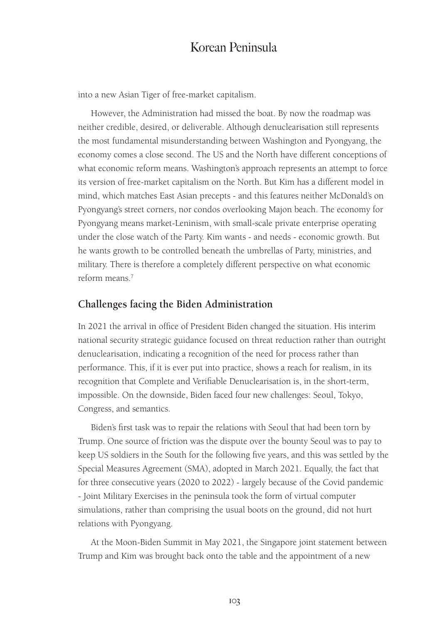into a new Asian Tiger of free-market capitalism.

However, the Administration had missed the boat. By now the roadmap was neither credible, desired, or deliverable. Although denuclearisation still represents the most fundamental misunderstanding between Washington and Pyongyang, the economy comes a close second. The US and the North have different conceptions of what economic reform means. Washington's approach represents an attempt to force its version of free-market capitalism on the North. But Kim has a different model in mind, which matches East Asian precepts - and this features neither McDonald's on Pyongyang's street corners, nor condos overlooking Majon beach. The economy for Pyongyang means market-Leninism, with small-scale private enterprise operating under the close watch of the Party. Kim wants - and needs - economic growth. But he wants growth to be controlled beneath the umbrellas of Party, ministries, and military. There is therefore a completely different perspective on what economic reform means.7

#### **Challenges facing the Biden Administration**

In 2021 the arrival in office of President Biden changed the situation. His interim national security strategic guidance focused on threat reduction rather than outright denuclearisation, indicating a recognition of the need for process rather than performance. This, if it is ever put into practice, shows a reach for realism, in its recognition that Complete and Verifiable Denuclearisation is, in the short-term, impossible. On the downside, Biden faced four new challenges: Seoul, Tokyo, Congress, and semantics.

Biden's first task was to repair the relations with Seoul that had been torn by Trump. One source of friction was the dispute over the bounty Seoul was to pay to keep US soldiers in the South for the following five years, and this was settled by the Special Measures Agreement (SMA), adopted in March 2021. Equally, the fact that for three consecutive years (2020 to 2022) - largely because of the Covid pandemic - Joint Military Exercises in the peninsula took the form of virtual computer simulations, rather than comprising the usual boots on the ground, did not hurt relations with Pyongyang.

At the Moon-Biden Summit in May 2021, the Singapore joint statement between Trump and Kim was brought back onto the table and the appointment of a new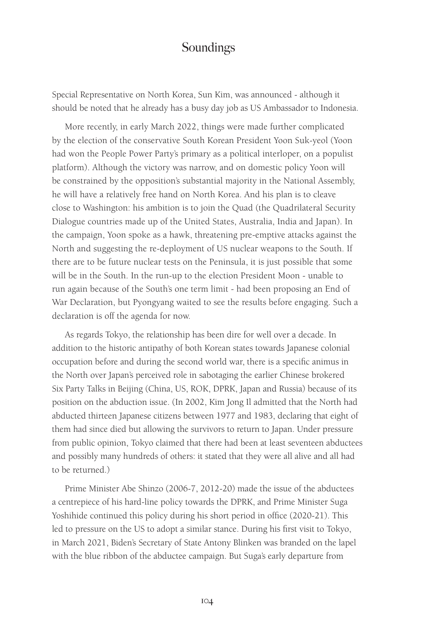Special Representative on North Korea, Sun Kim, was announced - although it should be noted that he already has a busy day job as US Ambassador to Indonesia.

More recently, in early March 2022, things were made further complicated by the election of the conservative South Korean President Yoon Suk-yeol (Yoon had won the People Power Party's primary as a political interloper, on a populist platform). Although the victory was narrow, and on domestic policy Yoon will be constrained by the opposition's substantial majority in the National Assembly, he will have a relatively free hand on North Korea. And his plan is to cleave close to Washington: his ambition is to join the Quad (the Quadrilateral Security Dialogue countries made up of the United States, Australia, India and Japan). In the campaign, Yoon spoke as a hawk, threatening pre-emptive attacks against the North and suggesting the re-deployment of US nuclear weapons to the South. If there are to be future nuclear tests on the Peninsula, it is just possible that some will be in the South. In the run-up to the election President Moon - unable to run again because of the South's one term limit - had been proposing an End of War Declaration, but Pyongyang waited to see the results before engaging. Such a declaration is off the agenda for now.

As regards Tokyo, the relationship has been dire for well over a decade. In addition to the historic antipathy of both Korean states towards Japanese colonial occupation before and during the second world war, there is a specific animus in the North over Japan's perceived role in sabotaging the earlier Chinese brokered Six Party Talks in Beijing (China, US, ROK, DPRK, Japan and Russia) because of its position on the abduction issue. (In 2002, Kim Jong Il admitted that the North had abducted thirteen Japanese citizens between 1977 and 1983, declaring that eight of them had since died but allowing the survivors to return to Japan. Under pressure from public opinion, Tokyo claimed that there had been at least seventeen abductees and possibly many hundreds of others: it stated that they were all alive and all had to be returned.)

Prime Minister Abe Shinzo (2006-7, 2012-20) made the issue of the abductees a centrepiece of his hard-line policy towards the DPRK, and Prime Minister Suga Yoshihide continued this policy during his short period in office (2020-21). This led to pressure on the US to adopt a similar stance. During his first visit to Tokyo, in March 2021, Biden's Secretary of State Antony Blinken was branded on the lapel with the blue ribbon of the abductee campaign. But Suga's early departure from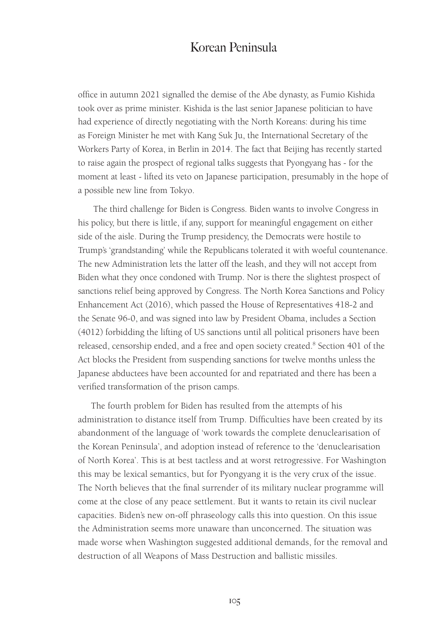office in autumn 2021 signalled the demise of the Abe dynasty, as Fumio Kishida took over as prime minister. Kishida is the last senior Japanese politician to have had experience of directly negotiating with the North Koreans: during his time as Foreign Minister he met with Kang Suk Ju, the International Secretary of the Workers Party of Korea, in Berlin in 2014. The fact that Beijing has recently started to raise again the prospect of regional talks suggests that Pyongyang has - for the moment at least - lifted its veto on Japanese participation, presumably in the hope of a possible new line from Tokyo.

The third challenge for Biden is Congress. Biden wants to involve Congress in his policy, but there is little, if any, support for meaningful engagement on either side of the aisle. During the Trump presidency, the Democrats were hostile to Trump's 'grandstanding' while the Republicans tolerated it with woeful countenance. The new Administration lets the latter off the leash, and they will not accept from Biden what they once condoned with Trump. Nor is there the slightest prospect of sanctions relief being approved by Congress. The North Korea Sanctions and Policy Enhancement Act (2016), which passed the House of Representatives 418-2 and the Senate 96-0, and was signed into law by President Obama, includes a Section (4012) forbidding the lifting of US sanctions until all political prisoners have been released, censorship ended, and a free and open society created.<sup>8</sup> Section 401 of the Act blocks the President from suspending sanctions for twelve months unless the Japanese abductees have been accounted for and repatriated and there has been a verified transformation of the prison camps.

The fourth problem for Biden has resulted from the attempts of his administration to distance itself from Trump. Difficulties have been created by its abandonment of the language of 'work towards the complete denuclearisation of the Korean Peninsula', and adoption instead of reference to the 'denuclearisation of North Korea'. This is at best tactless and at worst retrogressive. For Washington this may be lexical semantics, but for Pyongyang it is the very crux of the issue. The North believes that the final surrender of its military nuclear programme will come at the close of any peace settlement. But it wants to retain its civil nuclear capacities. Biden's new on-off phraseology calls this into question. On this issue the Administration seems more unaware than unconcerned. The situation was made worse when Washington suggested additional demands, for the removal and destruction of all Weapons of Mass Destruction and ballistic missiles.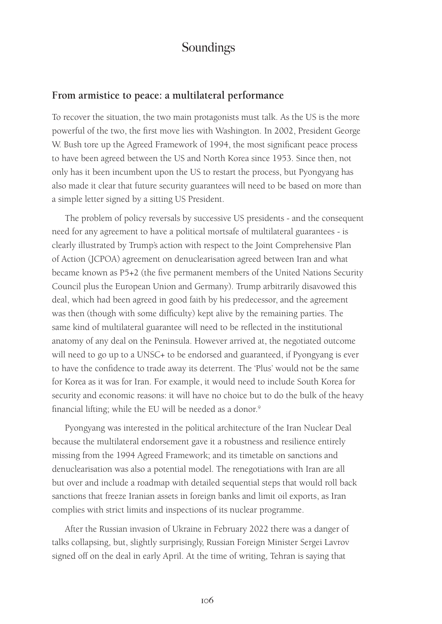#### **From armistice to peace: a multilateral performance**

To recover the situation, the two main protagonists must talk. As the US is the more powerful of the two, the first move lies with Washington. In 2002, President George W. Bush tore up the Agreed Framework of 1994, the most significant peace process to have been agreed between the US and North Korea since 1953. Since then, not only has it been incumbent upon the US to restart the process, but Pyongyang has also made it clear that future security guarantees will need to be based on more than a simple letter signed by a sitting US President.

The problem of policy reversals by successive US presidents - and the consequent need for any agreement to have a political mortsafe of multilateral guarantees - is clearly illustrated by Trump's action with respect to the Joint Comprehensive Plan of Action (JCPOA) agreement on denuclearisation agreed between Iran and what became known as P5+2 (the five permanent members of the United Nations Security Council plus the European Union and Germany). Trump arbitrarily disavowed this deal, which had been agreed in good faith by his predecessor, and the agreement was then (though with some difficulty) kept alive by the remaining parties. The same kind of multilateral guarantee will need to be reflected in the institutional anatomy of any deal on the Peninsula. However arrived at, the negotiated outcome will need to go up to a UNSC+ to be endorsed and guaranteed, if Pyongyang is ever to have the confidence to trade away its deterrent. The 'Plus' would not be the same for Korea as it was for Iran. For example, it would need to include South Korea for security and economic reasons: it will have no choice but to do the bulk of the heavy financial lifting; while the EU will be needed as a donor.<sup>9</sup>

Pyongyang was interested in the political architecture of the Iran Nuclear Deal because the multilateral endorsement gave it a robustness and resilience entirely missing from the 1994 Agreed Framework; and its timetable on sanctions and denuclearisation was also a potential model. The renegotiations with Iran are all but over and include a roadmap with detailed sequential steps that would roll back sanctions that freeze Iranian assets in foreign banks and limit oil exports, as Iran complies with strict limits and inspections of its nuclear programme.

After the Russian invasion of Ukraine in February 2022 there was a danger of talks collapsing, but, slightly surprisingly, Russian Foreign Minister Sergei Lavrov signed off on the deal in early April. At the time of writing, Tehran is saying that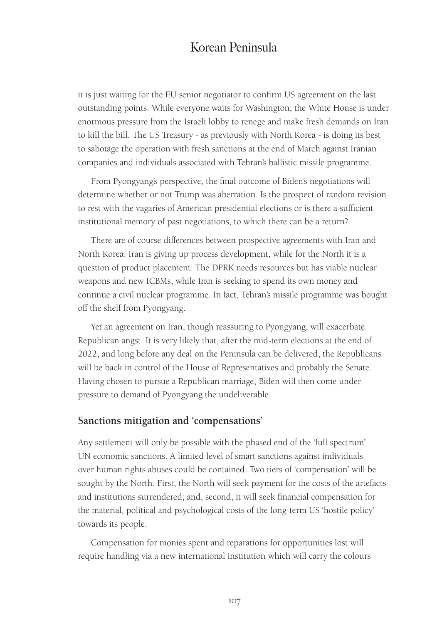it is just waiting for the EU senior negotiator to confirm US agreement on the last outstanding points. While everyone waits for Washington, the White House is under enormous pressure from the Israeli lobby to renege and make fresh demands on Iran to kill the bill. The US Treasury - as previously with North Korea - is doing its best to sabotage the operation with fresh sanctions at the end of March against Iranian companies and individuals associated with Tehran's ballistic missile programme.

From Pyongyang's perspective, the final outcome of Biden's negotiations will determine whether or not Trump was aberration. Is the prospect of random revision to rest with the vagaries of American presidential elections or is there a sufficient institutional memory of past negotiations, to which there can be a return?

There are of course differences between prospective agreements with Iran and North Korea. Iran is giving up process development, while for the North it is a question of product placement. The DPRK needs resources but has viable nuclear weapons and new ICBMs, while Iran is seeking to spend its own money and continue a civil nuclear programme. In fact, Tehran's missile programme was bought off the shelf from Pyongyang.

Yet an agreement on Iran, though reassuring to Pyongyang, will exacerbate Republican angst. It is very likely that, after the mid-term elections at the end of 2022, and long before any deal on the Peninsula can be delivered, the Republicans will be back in control of the House of Representatives and probably the Senate. Having chosen to pursue a Republican marriage, Biden will then come under pressure to demand of Pyongyang the undeliverable.

#### **Sanctions mitigation and 'compensations'**

Any settlement will only be possible with the phased end of the 'full spectrum' UN economic sanctions. A limited level of smart sanctions against individuals over human rights abuses could be contained. Two tiers of 'compensation' will be sought by the North. First, the North will seek payment for the costs of the artefacts and institutions surrendered; and, second, it will seek financial compensation for the material, political and psychological costs of the long-term US 'hostile policy' towards its people.

Compensation for monies spent and reparations for opportunities lost will require handling via a new international institution which will carry the colours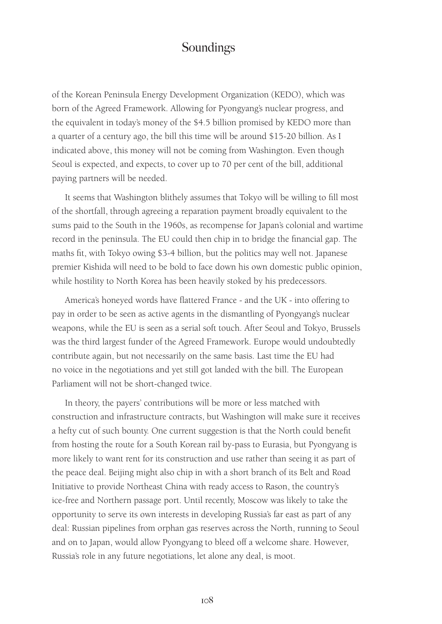of the Korean Peninsula Energy Development Organization (KEDO), which was born of the Agreed Framework. Allowing for Pyongyang's nuclear progress, and the equivalent in today's money of the \$4.5 billion promised by KEDO more than a quarter of a century ago, the bill this time will be around \$15-20 billion. As I indicated above, this money will not be coming from Washington. Even though Seoul is expected, and expects, to cover up to 70 per cent of the bill, additional paying partners will be needed.

It seems that Washington blithely assumes that Tokyo will be willing to fill most of the shortfall, through agreeing a reparation payment broadly equivalent to the sums paid to the South in the 1960s, as recompense for Japan's colonial and wartime record in the peninsula. The EU could then chip in to bridge the financial gap. The maths fit, with Tokyo owing \$3-4 billion, but the politics may well not. Japanese premier Kishida will need to be bold to face down his own domestic public opinion, while hostility to North Korea has been heavily stoked by his predecessors.

America's honeyed words have flattered France - and the UK - into offering to pay in order to be seen as active agents in the dismantling of Pyongyang's nuclear weapons, while the EU is seen as a serial soft touch. After Seoul and Tokyo, Brussels was the third largest funder of the Agreed Framework. Europe would undoubtedly contribute again, but not necessarily on the same basis. Last time the EU had no voice in the negotiations and yet still got landed with the bill. The European Parliament will not be short-changed twice.

In theory, the payers' contributions will be more or less matched with construction and infrastructure contracts, but Washington will make sure it receives a hefty cut of such bounty. One current suggestion is that the North could benefit from hosting the route for a South Korean rail by-pass to Eurasia, but Pyongyang is more likely to want rent for its construction and use rather than seeing it as part of the peace deal. Beijing might also chip in with a short branch of its Belt and Road Initiative to provide Northeast China with ready access to Rason, the country's ice-free and Northern passage port. Until recently, Moscow was likely to take the opportunity to serve its own interests in developing Russia's far east as part of any deal: Russian pipelines from orphan gas reserves across the North, running to Seoul and on to Japan, would allow Pyongyang to bleed off a welcome share. However, Russia's role in any future negotiations, let alone any deal, is moot.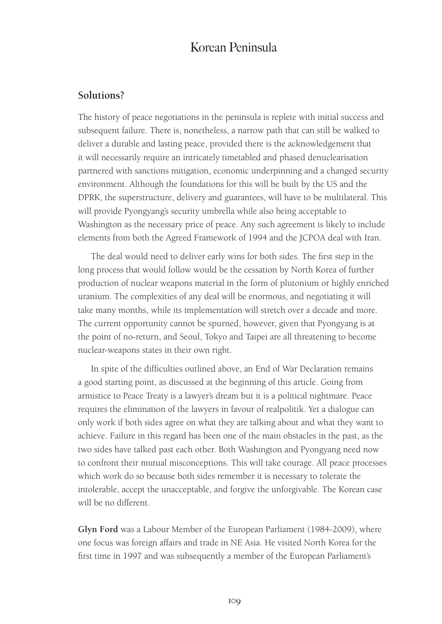#### **Solutions?**

The history of peace negotiations in the peninsula is replete with initial success and subsequent failure. There is, nonetheless, a narrow path that can still be walked to deliver a durable and lasting peace, provided there is the acknowledgement that it will necessarily require an intricately timetabled and phased denuclearisation partnered with sanctions mitigation, economic underpinning and a changed security environment. Although the foundations for this will be built by the US and the DPRK, the superstructure, delivery and guarantees, will have to be multilateral. This will provide Pyongyang's security umbrella while also being acceptable to Washington as the necessary price of peace. Any such agreement is likely to include elements from both the Agreed Framework of 1994 and the JCPOA deal with Iran.

The deal would need to deliver early wins for both sides. The first step in the long process that would follow would be the cessation by North Korea of further production of nuclear weapons material in the form of plutonium or highly enriched uranium. The complexities of any deal will be enormous, and negotiating it will take many months, while its implementation will stretch over a decade and more. The current opportunity cannot be spurned, however, given that Pyongyang is at the point of no-return, and Seoul, Tokyo and Taipei are all threatening to become nuclear-weapons states in their own right.

In spite of the difficulties outlined above, an End of War Declaration remains a good starting point, as discussed at the beginning of this article. Going from armistice to Peace Treaty is a lawyer's dream but it is a political nightmare. Peace requires the elimination of the lawyers in favour of realpolitik. Yet a dialogue can only work if both sides agree on what they are talking about and what they want to achieve. Failure in this regard has been one of the main obstacles in the past, as the two sides have talked past each other. Both Washington and Pyongyang need now to confront their mutual misconceptions. This will take courage. All peace processes which work do so because both sides remember it is necessary to tolerate the intolerable, accept the unacceptable, and forgive the unforgivable. The Korean case will be no different.

**Glyn Ford** was a Labour Member of the European Parliament (1984-2009), where one focus was foreign affairs and trade in NE Asia. He visited North Korea for the first time in 1997 and was subsequently a member of the European Parliament's